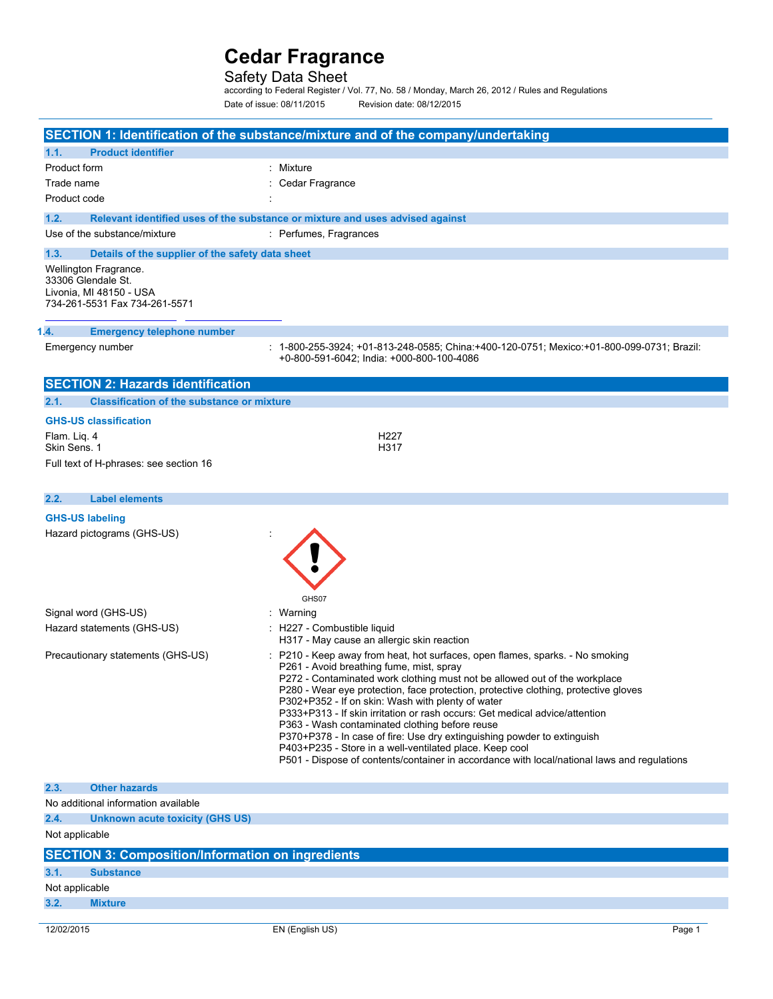# Safety Data Sheet

according to Federal Register / Vol. 77, No. 58 / Monday, March 26, 2012 / Rules and Regulations Date of issue: 08/11/2015 Revision date: 08/12/2015

|                                                           | SECTION 1: Identification of the substance/mixture and of the company/undertaking                                                        |  |  |  |
|-----------------------------------------------------------|------------------------------------------------------------------------------------------------------------------------------------------|--|--|--|
| 1.1.<br><b>Product identifier</b>                         |                                                                                                                                          |  |  |  |
| Product form                                              | : Mixture                                                                                                                                |  |  |  |
| Trade name<br>Cedar Fragrance                             |                                                                                                                                          |  |  |  |
| Product code                                              |                                                                                                                                          |  |  |  |
| 1.2.                                                      | Relevant identified uses of the substance or mixture and uses advised against                                                            |  |  |  |
| Use of the substance/mixture                              | : Perfumes, Fragrances                                                                                                                   |  |  |  |
| 1.3.<br>Details of the supplier of the safety data sheet  |                                                                                                                                          |  |  |  |
| <b>Wellington Fragrance.</b>                              |                                                                                                                                          |  |  |  |
| 33306 Glendale St.                                        |                                                                                                                                          |  |  |  |
| Livonia, MI 48150 - USA<br>734-261-5531 Fax 734-261-5571  |                                                                                                                                          |  |  |  |
|                                                           |                                                                                                                                          |  |  |  |
| 1.4.<br><b>Emergency telephone number</b>                 |                                                                                                                                          |  |  |  |
| Emergency number                                          | : 1-800-255-3924; +01-813-248-0585; China:+400-120-0751; Mexico:+01-800-099-0731; Brazil:                                                |  |  |  |
|                                                           | +0-800-591-6042; India: +000-800-100-4086                                                                                                |  |  |  |
| <b>SECTION 2: Hazards identification</b>                  |                                                                                                                                          |  |  |  |
| 2.1.<br><b>Classification of the substance or mixture</b> |                                                                                                                                          |  |  |  |
| <b>GHS-US classification</b>                              |                                                                                                                                          |  |  |  |
| Flam. Lig. 4                                              | H227                                                                                                                                     |  |  |  |
| Skin Sens. 1                                              | H317                                                                                                                                     |  |  |  |
| Full text of H-phrases: see section 16                    |                                                                                                                                          |  |  |  |
|                                                           |                                                                                                                                          |  |  |  |
| 2.2.<br><b>Label elements</b>                             |                                                                                                                                          |  |  |  |
| <b>GHS-US labeling</b>                                    |                                                                                                                                          |  |  |  |
| Hazard pictograms (GHS-US)                                |                                                                                                                                          |  |  |  |
|                                                           |                                                                                                                                          |  |  |  |
|                                                           |                                                                                                                                          |  |  |  |
|                                                           |                                                                                                                                          |  |  |  |
|                                                           | GHS07                                                                                                                                    |  |  |  |
| Signal word (GHS-US)                                      | : Warning                                                                                                                                |  |  |  |
| Hazard statements (GHS-US)                                | : H227 - Combustible liquid<br>H317 - May cause an allergic skin reaction                                                                |  |  |  |
| Precautionary statements (GHS-US)                         | : P210 - Keep away from heat, hot surfaces, open flames, sparks. - No smoking                                                            |  |  |  |
|                                                           | P261 - Avoid breathing fume, mist, spray                                                                                                 |  |  |  |
|                                                           | P272 - Contaminated work clothing must not be allowed out of the workplace                                                               |  |  |  |
|                                                           | P280 - Wear eye protection, face protection, protective clothing, protective gloves<br>P302+P352 - If on skin: Wash with plenty of water |  |  |  |
|                                                           | P333+P313 - If skin irritation or rash occurs: Get medical advice/attention                                                              |  |  |  |
|                                                           | P363 - Wash contaminated clothing before reuse<br>P370+P378 - In case of fire: Use dry extinguishing powder to extinguish                |  |  |  |
|                                                           | P403+P235 - Store in a well-ventilated place. Keep cool                                                                                  |  |  |  |
|                                                           | P501 - Dispose of contents/container in accordance with local/national laws and regulations                                              |  |  |  |
| 2.3.<br><b>Other hazards</b>                              |                                                                                                                                          |  |  |  |
| No additional information available                       |                                                                                                                                          |  |  |  |
| 2.4.<br><b>Unknown acute toxicity (GHS US)</b>            |                                                                                                                                          |  |  |  |
| Not applicable                                            |                                                                                                                                          |  |  |  |
| <b>SECTION 3: Composition/Information on ingredients</b>  |                                                                                                                                          |  |  |  |
| 3.1.<br><b>Substance</b>                                  |                                                                                                                                          |  |  |  |
| Not applicable                                            |                                                                                                                                          |  |  |  |
| 3.2.<br><b>Mixture</b>                                    |                                                                                                                                          |  |  |  |
|                                                           |                                                                                                                                          |  |  |  |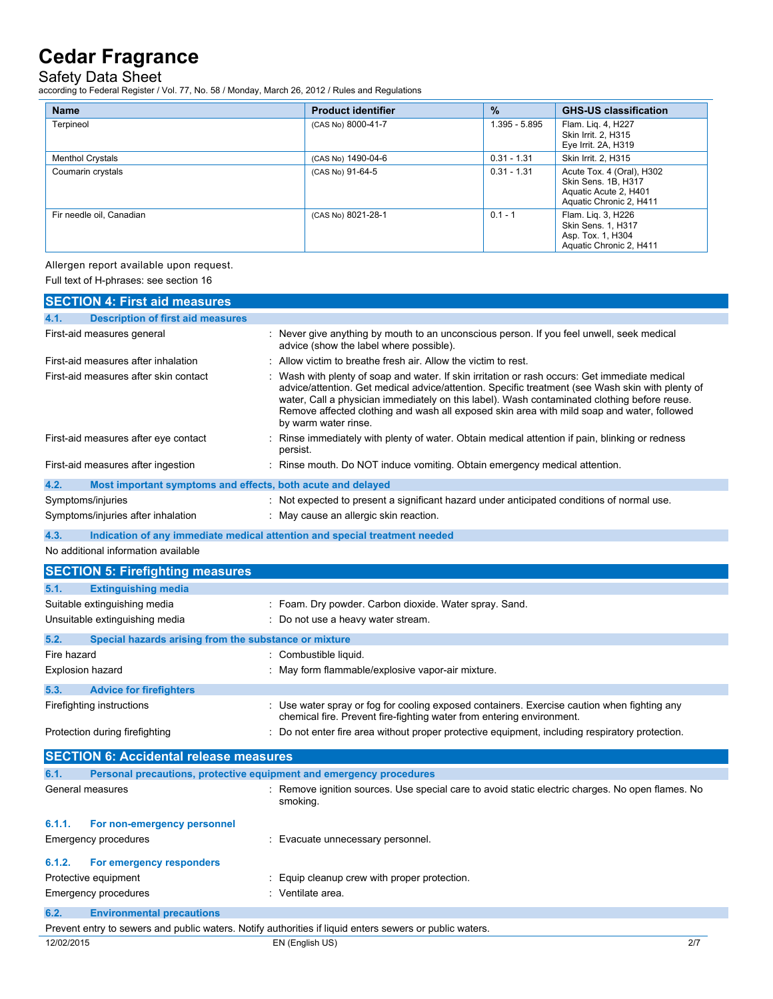Safety Data Sheet

according to Federal Register / Vol. 77, No. 58 / Monday, March 26, 2012 / Rules and Regulations

| <b>Name</b>              | <b>Product identifier</b> | $\frac{9}{6}$ | <b>GHS-US classification</b>                                                                         |
|--------------------------|---------------------------|---------------|------------------------------------------------------------------------------------------------------|
| Terpineol                | (CAS No) 8000-41-7        | 1.395 - 5.895 | Flam. Lig. 4, H227<br>Skin Irrit. 2, H315<br>Eye Irrit. 2A, H319                                     |
| <b>Menthol Crystals</b>  | (CAS No) 1490-04-6        | $0.31 - 1.31$ | Skin Irrit. 2, H315                                                                                  |
| Coumarin crystals        | (CAS No) 91-64-5          | $0.31 - 1.31$ | Acute Tox. 4 (Oral), H302<br>Skin Sens. 1B, H317<br>Aquatic Acute 2, H401<br>Aquatic Chronic 2, H411 |
| Fir needle oil, Canadian | (CAS No) 8021-28-1        | $0.1 - 1$     | Flam. Lig. 3, H226<br><b>Skin Sens. 1. H317</b><br>Asp. Tox. 1, H304<br>Aquatic Chronic 2, H411      |

Allergen report available upon request.

Full text of H-phrases: see section 16

|                                       | <b>SECTION 4: First aid measures</b>                                |                                                                                                                                                                                                                                                                                                                                                                                                                        |  |
|---------------------------------------|---------------------------------------------------------------------|------------------------------------------------------------------------------------------------------------------------------------------------------------------------------------------------------------------------------------------------------------------------------------------------------------------------------------------------------------------------------------------------------------------------|--|
| 4.1.                                  | <b>Description of first aid measures</b>                            |                                                                                                                                                                                                                                                                                                                                                                                                                        |  |
|                                       | First-aid measures general                                          | : Never give anything by mouth to an unconscious person. If you feel unwell, seek medical<br>advice (show the label where possible).                                                                                                                                                                                                                                                                                   |  |
| First-aid measures after inhalation   |                                                                     | Allow victim to breathe fresh air. Allow the victim to rest.                                                                                                                                                                                                                                                                                                                                                           |  |
| First-aid measures after skin contact |                                                                     | Wash with plenty of soap and water. If skin irritation or rash occurs: Get immediate medical<br>advice/attention. Get medical advice/attention. Specific treatment (see Wash skin with plenty of<br>water, Call a physician immediately on this label). Wash contaminated clothing before reuse.<br>Remove affected clothing and wash all exposed skin area with mild soap and water, followed<br>by warm water rinse. |  |
|                                       | First-aid measures after eye contact                                | Rinse immediately with plenty of water. Obtain medical attention if pain, blinking or redness<br>persist.                                                                                                                                                                                                                                                                                                              |  |
|                                       | First-aid measures after ingestion                                  | : Rinse mouth. Do NOT induce vomiting. Obtain emergency medical attention.                                                                                                                                                                                                                                                                                                                                             |  |
| 4.2.                                  | Most important symptoms and effects, both acute and delayed         |                                                                                                                                                                                                                                                                                                                                                                                                                        |  |
|                                       | Symptoms/injuries                                                   | : Not expected to present a significant hazard under anticipated conditions of normal use.                                                                                                                                                                                                                                                                                                                             |  |
|                                       | Symptoms/injuries after inhalation                                  | : May cause an allergic skin reaction.                                                                                                                                                                                                                                                                                                                                                                                 |  |
| 4.3.                                  |                                                                     | Indication of any immediate medical attention and special treatment needed                                                                                                                                                                                                                                                                                                                                             |  |
|                                       | No additional information available                                 |                                                                                                                                                                                                                                                                                                                                                                                                                        |  |
|                                       |                                                                     |                                                                                                                                                                                                                                                                                                                                                                                                                        |  |
|                                       | <b>SECTION 5: Firefighting measures</b>                             |                                                                                                                                                                                                                                                                                                                                                                                                                        |  |
| 5.1.                                  | <b>Extinguishing media</b>                                          |                                                                                                                                                                                                                                                                                                                                                                                                                        |  |
|                                       | Suitable extinguishing media                                        | : Foam. Dry powder. Carbon dioxide. Water spray. Sand.                                                                                                                                                                                                                                                                                                                                                                 |  |
|                                       | Unsuitable extinguishing media                                      | : Do not use a heavy water stream.                                                                                                                                                                                                                                                                                                                                                                                     |  |
| 5.2.                                  | Special hazards arising from the substance or mixture               |                                                                                                                                                                                                                                                                                                                                                                                                                        |  |
| Fire hazard                           |                                                                     | : Combustible liquid.                                                                                                                                                                                                                                                                                                                                                                                                  |  |
| Explosion hazard                      |                                                                     | May form flammable/explosive vapor-air mixture.                                                                                                                                                                                                                                                                                                                                                                        |  |
| 5.3.                                  | <b>Advice for firefighters</b>                                      |                                                                                                                                                                                                                                                                                                                                                                                                                        |  |
|                                       | Firefighting instructions                                           | : Use water spray or fog for cooling exposed containers. Exercise caution when fighting any<br>chemical fire. Prevent fire-fighting water from entering environment.                                                                                                                                                                                                                                                   |  |
|                                       | Protection during firefighting                                      | : Do not enter fire area without proper protective equipment, including respiratory protection.                                                                                                                                                                                                                                                                                                                        |  |
|                                       |                                                                     |                                                                                                                                                                                                                                                                                                                                                                                                                        |  |
|                                       | <b>SECTION 6: Accidental release measures</b>                       |                                                                                                                                                                                                                                                                                                                                                                                                                        |  |
| 6.1.                                  | Personal precautions, protective equipment and emergency procedures |                                                                                                                                                                                                                                                                                                                                                                                                                        |  |
|                                       | General measures                                                    | : Remove ignition sources. Use special care to avoid static electric charges. No open flames. No<br>smoking.                                                                                                                                                                                                                                                                                                           |  |
| 6.1.1.                                | For non-emergency personnel                                         |                                                                                                                                                                                                                                                                                                                                                                                                                        |  |
|                                       | Emergency procedures                                                | : Evacuate unnecessary personnel.                                                                                                                                                                                                                                                                                                                                                                                      |  |
| 6.1.2.                                | For emergency responders                                            |                                                                                                                                                                                                                                                                                                                                                                                                                        |  |
|                                       | Protective equipment                                                | Equip cleanup crew with proper protection.                                                                                                                                                                                                                                                                                                                                                                             |  |
|                                       | <b>Emergency procedures</b>                                         | : Ventilate area.                                                                                                                                                                                                                                                                                                                                                                                                      |  |
| 6.2.                                  | <b>Environmental precautions</b>                                    |                                                                                                                                                                                                                                                                                                                                                                                                                        |  |
|                                       |                                                                     | Prevent entry to sewers and public waters. Notify authorities if liquid enters sewers or public waters.                                                                                                                                                                                                                                                                                                                |  |
| 12/02/2015                            |                                                                     | EN (English US)<br>2/7                                                                                                                                                                                                                                                                                                                                                                                                 |  |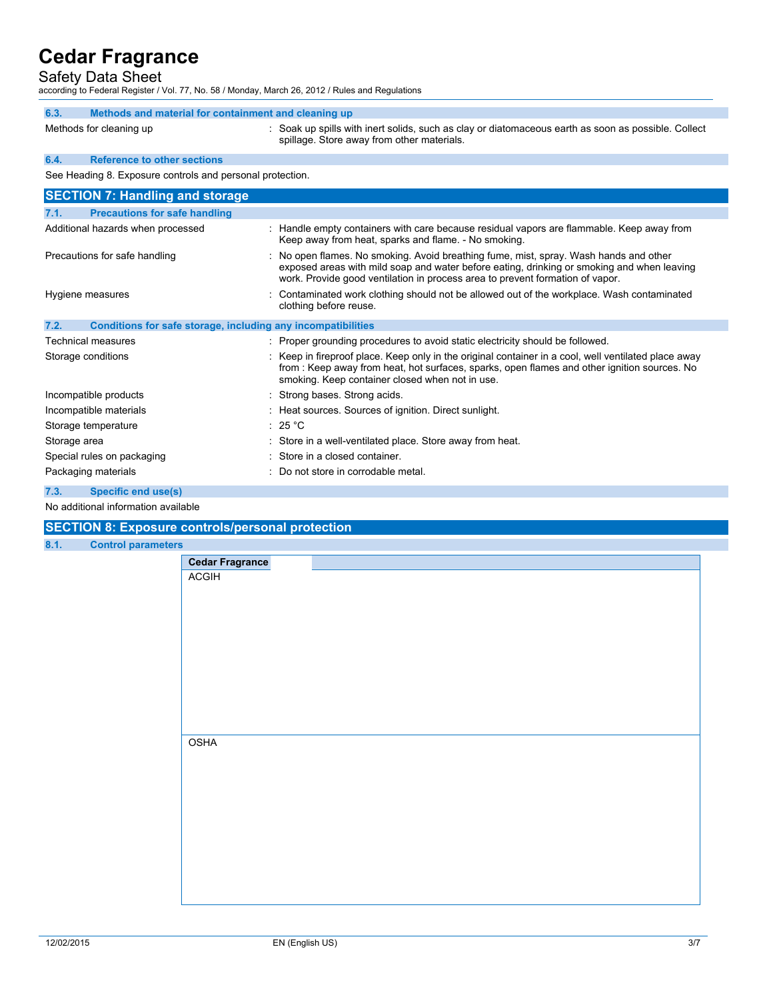## Safety Data Sheet

according to Federal Register / Vol. 77, No. 58 / Monday, March 26, 2012 / Rules and Regulations

| 6.3.                                                      | Methods and material for containment and cleaning up                                                                                                                                                                                                                 |
|-----------------------------------------------------------|----------------------------------------------------------------------------------------------------------------------------------------------------------------------------------------------------------------------------------------------------------------------|
| Methods for cleaning up                                   | : Soak up spills with inert solids, such as clay or diatomaceous earth as soon as possible. Collect<br>spillage. Store away from other materials.                                                                                                                    |
| <b>Reference to other sections</b><br>6.4.                |                                                                                                                                                                                                                                                                      |
| See Heading 8. Exposure controls and personal protection. |                                                                                                                                                                                                                                                                      |
| <b>SECTION 7: Handling and storage</b>                    |                                                                                                                                                                                                                                                                      |
| <b>Precautions for safe handling</b><br>7.1.              |                                                                                                                                                                                                                                                                      |
| Additional hazards when processed                         | : Handle empty containers with care because residual vapors are flammable. Keep away from<br>Keep away from heat, sparks and flame. - No smoking.                                                                                                                    |
| Precautions for safe handling                             | : No open flames. No smoking. Avoid breathing fume, mist, spray. Wash hands and other<br>exposed areas with mild soap and water before eating, drinking or smoking and when leaving<br>work. Provide good ventilation in process area to prevent formation of vapor. |
| Hygiene measures                                          | Contaminated work clothing should not be allowed out of the workplace. Wash contaminated<br>clothing before reuse.                                                                                                                                                   |
| 7.2.                                                      | Conditions for safe storage, including any incompatibilities                                                                                                                                                                                                         |
| المحورية والمحامص المحامدات                               | المحبوب والمكرم والمرابط والمنازع فاستعملت والمتحاول والمتحوض والمتحدود والمستلح والمستحدث والمستحدث والمستحدث                                                                                                                                                       |

| <u>outamnone for sale storage, including any incompatibilities</u> |                                                                                                                                                                                                                                                         |
|--------------------------------------------------------------------|---------------------------------------------------------------------------------------------------------------------------------------------------------------------------------------------------------------------------------------------------------|
| Technical measures                                                 | : Proper grounding procedures to avoid static electricity should be followed.                                                                                                                                                                           |
| Storage conditions                                                 | : Keep in fireproof place. Keep only in the original container in a cool, well ventilated place away<br>from : Keep away from heat, hot surfaces, sparks, open flames and other ignition sources. No<br>smoking. Keep container closed when not in use. |
| Incompatible products                                              | : Strong bases. Strong acids.                                                                                                                                                                                                                           |
| Incompatible materials                                             | : Heat sources. Sources of ignition. Direct sunlight.                                                                                                                                                                                                   |
| Storage temperature                                                | : 25 $^{\circ}$ C                                                                                                                                                                                                                                       |
| Storage area                                                       | : Store in a well-ventilated place. Store away from heat.                                                                                                                                                                                               |
| Special rules on packaging                                         | : Store in a closed container.                                                                                                                                                                                                                          |
| Packaging materials                                                | : Do not store in corrodable metal.                                                                                                                                                                                                                     |
| 7.3.<br><b>Specific end use(s)</b>                                 |                                                                                                                                                                                                                                                         |

No additional information available

### **SECTION 8: Exposure controls/personal protection**

#### **8.1. Control parameters**

| s,                     |  |  |
|------------------------|--|--|
| <b>Cedar Fragrance</b> |  |  |
| ACGIH                  |  |  |
|                        |  |  |
|                        |  |  |
|                        |  |  |
|                        |  |  |
|                        |  |  |
|                        |  |  |
|                        |  |  |
|                        |  |  |
|                        |  |  |
|                        |  |  |
|                        |  |  |
| <b>OSHA</b>            |  |  |
|                        |  |  |
|                        |  |  |
|                        |  |  |
|                        |  |  |
|                        |  |  |
|                        |  |  |
|                        |  |  |
|                        |  |  |
|                        |  |  |
|                        |  |  |
|                        |  |  |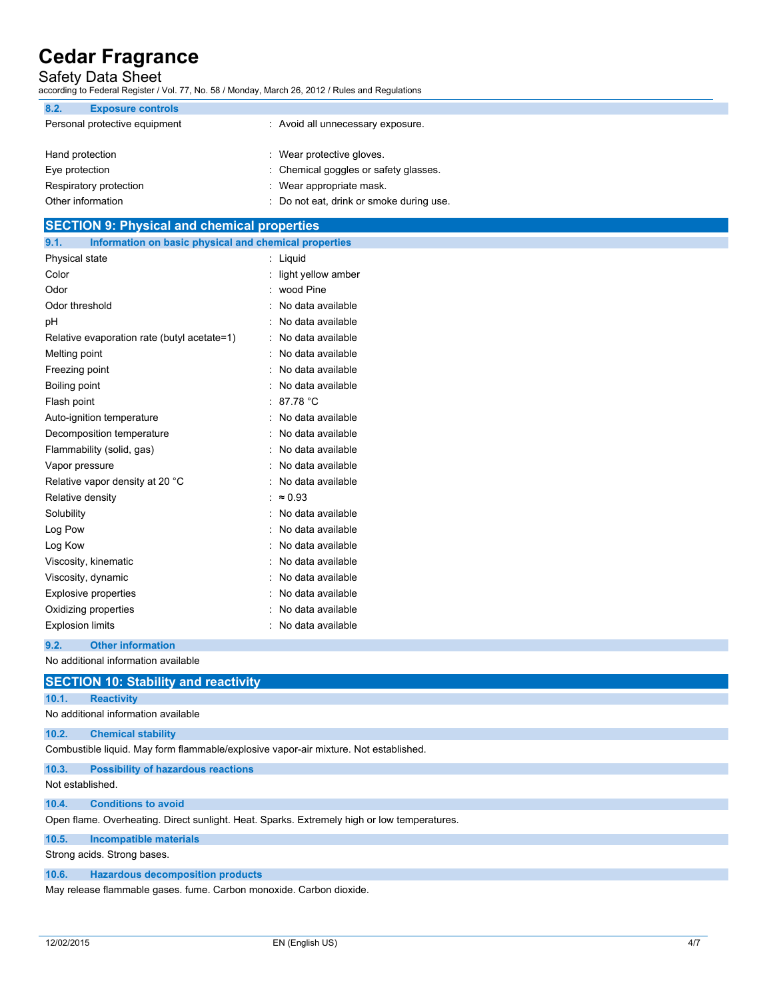# Safety Data Sheet

according to Federal Register / Vol. 77, No. 58 / Monday, March 26, 2012 / Rules and Regulations

| 8.2.<br><b>Exposure controls</b> |                                          |
|----------------------------------|------------------------------------------|
| Personal protective equipment    | : Avoid all unnecessary exposure.        |
| Hand protection                  | : Wear protective gloves.                |
| Eye protection                   | : Chemical goggles or safety glasses.    |
| Respiratory protection           | : Wear appropriate mask.                 |
| Other information                | : Do not eat, drink or smoke during use. |

# **SECTION 9: Physical and chemical properties 9.1. Information on basic physical and chemical properties** Physical state : Liquid Color : light yellow amber Odor : wood Pine Odor threshold **in the contract of the contract of the contract of the contract of the contract of the contract of the contract of the contract of the contract of the contract of the contract of the contract of the contrac** pH : No data available Relative evaporation rate (butyl acetate=1) : No data available

| Melting point                   | : No data available |
|---------------------------------|---------------------|
| Freezing point                  | : No data available |
| Boiling point                   | : No data available |
| Flash point                     | : 87.78 °C          |
| Auto-ignition temperature       | : No data available |
| Decomposition temperature       | : No data available |
| Flammability (solid, gas)       | : No data available |
| Vapor pressure                  | : No data available |
| Relative vapor density at 20 °C | : No data available |
| Relative density                | : $\approx 0.93$    |
| Solubility                      | : No data available |
| Log Pow                         | : No data available |
| Log Kow                         | : No data available |
| Viscosity, kinematic            | : No data available |
| Viscosity, dynamic              | : No data available |
| Explosive properties            | : No data available |
| Oxidizing properties            | No data available   |
| <b>Explosion limits</b>         | No data available   |

**9.2. Other information**

No additional information available

|       | <b>SECTION 10: Stability and reactivity</b> |  |
|-------|---------------------------------------------|--|
| 10.1. | <b>Reactivity</b>                           |  |

No additional information available

#### **10.2. Chemical stability**

Combustible liquid. May form flammable/explosive vapor-air mixture. Not established.

**10.3. Possibility of hazardous reactions**

Not established.

#### **10.4. Conditions to avoid**

Open flame. Overheating. Direct sunlight. Heat. Sparks. Extremely high or low temperatures.

#### **10.5. Incompatible materials**

Strong acids. Strong bases.

### **10.6. Hazardous decomposition products**

May release flammable gases. fume. Carbon monoxide. Carbon dioxide.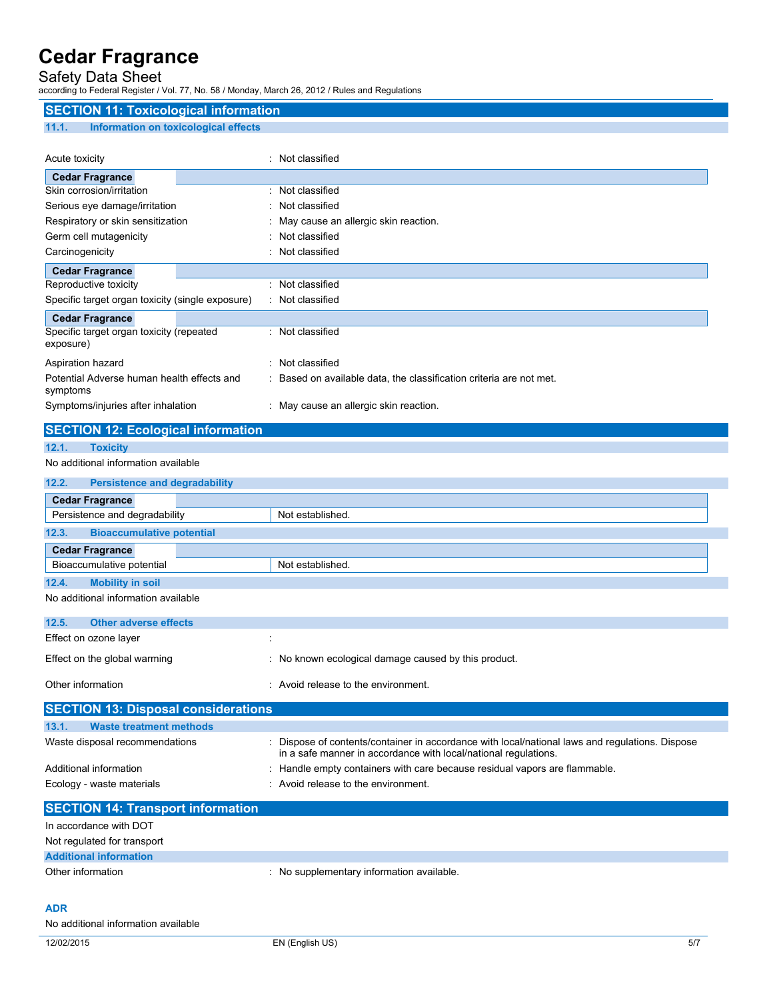# Safety Data Sheet

according to Federal Register / Vol. 77, No. 58 / Monday, March 26, 2012 / Rules and Regulations

| <b>SECTION 11: Toxicological information</b>           |                                                                                                                                                                  |
|--------------------------------------------------------|------------------------------------------------------------------------------------------------------------------------------------------------------------------|
| 11.1.<br>Information on toxicological effects          |                                                                                                                                                                  |
|                                                        |                                                                                                                                                                  |
| Acute toxicity                                         | : Not classified                                                                                                                                                 |
| <b>Cedar Fragrance</b>                                 |                                                                                                                                                                  |
| Skin corrosion/irritation                              | : Not classified                                                                                                                                                 |
| Serious eye damage/irritation                          | : Not classified                                                                                                                                                 |
| Respiratory or skin sensitization                      | May cause an allergic skin reaction.                                                                                                                             |
| Germ cell mutagenicity                                 | Not classified                                                                                                                                                   |
| Carcinogenicity                                        | : Not classified                                                                                                                                                 |
| <b>Cedar Fragrance</b>                                 |                                                                                                                                                                  |
| Reproductive toxicity                                  | : Not classified                                                                                                                                                 |
| Specific target organ toxicity (single exposure)       | : Not classified                                                                                                                                                 |
| <b>Cedar Fragrance</b>                                 |                                                                                                                                                                  |
| Specific target organ toxicity (repeated<br>exposure)  | : Not classified                                                                                                                                                 |
| Aspiration hazard                                      | : Not classified                                                                                                                                                 |
| Potential Adverse human health effects and<br>symptoms | Based on available data, the classification criteria are not met.                                                                                                |
| Symptoms/injuries after inhalation                     | : May cause an allergic skin reaction.                                                                                                                           |
| <b>SECTION 12: Ecological information</b>              |                                                                                                                                                                  |
| 12.1.<br><b>Toxicity</b>                               |                                                                                                                                                                  |
| No additional information available                    |                                                                                                                                                                  |
| 12.2.<br><b>Persistence and degradability</b>          |                                                                                                                                                                  |
| <b>Cedar Fragrance</b>                                 |                                                                                                                                                                  |
| Persistence and degradability                          | Not established.                                                                                                                                                 |
| 12.3.<br><b>Bioaccumulative potential</b>              |                                                                                                                                                                  |
|                                                        |                                                                                                                                                                  |
| <b>Cedar Fragrance</b><br>Bioaccumulative potential    | Not established.                                                                                                                                                 |
|                                                        |                                                                                                                                                                  |
| 12.4.<br><b>Mobility in soil</b>                       |                                                                                                                                                                  |
| No additional information available                    |                                                                                                                                                                  |
| 12.5.<br><b>Other adverse effects</b>                  |                                                                                                                                                                  |
| Effect on ozone layer                                  |                                                                                                                                                                  |
|                                                        |                                                                                                                                                                  |
| Effect on the global warming                           | : No known ecological damage caused by this product.                                                                                                             |
| Other information                                      | : Avoid release to the environment.                                                                                                                              |
| <b>SECTION 13: Disposal considerations</b>             |                                                                                                                                                                  |
| 13.1.<br><b>Waste treatment methods</b>                |                                                                                                                                                                  |
| Waste disposal recommendations                         | Dispose of contents/container in accordance with local/national laws and regulations. Dispose<br>in a safe manner in accordance with local/national regulations. |
| Additional information                                 | : Handle empty containers with care because residual vapors are flammable.                                                                                       |
| Ecology - waste materials                              | : Avoid release to the environment.                                                                                                                              |
|                                                        |                                                                                                                                                                  |
| <b>SECTION 14: Transport information</b>               |                                                                                                                                                                  |
| In accordance with DOT                                 |                                                                                                                                                                  |
| Not regulated for transport                            |                                                                                                                                                                  |
| <b>Additional information</b>                          |                                                                                                                                                                  |
| Other information                                      | : No supplementary information available.                                                                                                                        |
|                                                        |                                                                                                                                                                  |

### **ADR**

No additional information available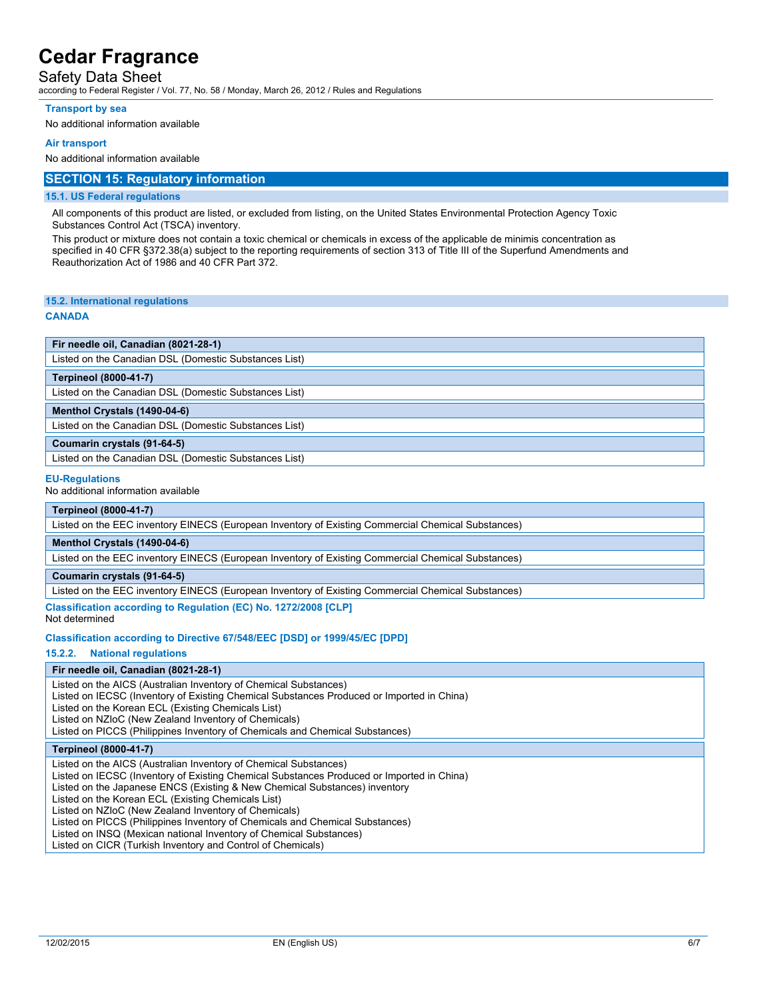## Safety Data Sheet

according to Federal Register / Vol. 77, No. 58 / Monday, March 26, 2012 / Rules and Regulations

#### **Transport by sea**

No additional information available

#### **Air transport**

No additional information available

### **SECTION 15: Regulatory information**

#### **15.1. US Federal regulations**

All components of this product are listed, or excluded from listing, on the United States Environmental Protection Agency Toxic Substances Control Act (TSCA) inventory.

This product or mixture does not contain a toxic chemical or chemicals in excess of the applicable de minimis concentration as specified in 40 CFR §372.38(a) subject to the reporting requirements of section 313 of Title III of the Superfund Amendments and Reauthorization Act of 1986 and 40 CFR Part 372.

#### **15.2. International regulations**

#### **CANADA**

**Fir needle oil, Canadian (8021-28-1)**

Listed on the Canadian DSL (Domestic Substances List)

#### **Terpineol (8000-41-7)**

Listed on the Canadian DSL (Domestic Substances List)

## **Menthol Crystals (1490-04-6)**

Listed on the Canadian DSL (Domestic Substances List)

#### **Coumarin crystals (91-64-5)**

Listed on the Canadian DSL (Domestic Substances List)

#### **EU-Regulations**

No additional information available

### **Terpineol (8000-41-7)**

Listed on the EEC inventory EINECS (European Inventory of Existing Commercial Chemical Substances)

#### **Menthol Crystals (1490-04-6)**

Listed on the EEC inventory EINECS (European Inventory of Existing Commercial Chemical Substances)

#### **Coumarin crystals (91-64-5)**

Listed on the EEC inventory EINECS (European Inventory of Existing Commercial Chemical Substances)

#### **Classification according to Regulation (EC) No. 1272/2008 [CLP]**

Not determined

#### **Classification according to Directive 67/548/EEC [DSD] or 1999/45/EC [DPD]**

#### **15.2.2. National regulations**

#### **Fir needle oil, Canadian (8021-28-1)**

Listed on the AICS (Australian Inventory of Chemical Substances)

Listed on IECSC (Inventory of Existing Chemical Substances Produced or Imported in China)

Listed on the Korean ECL (Existing Chemicals List)

Listed on NZIoC (New Zealand Inventory of Chemicals)

Listed on PICCS (Philippines Inventory of Chemicals and Chemical Substances)

#### **Terpineol (8000-41-7)**

Listed on the AICS (Australian Inventory of Chemical Substances)

Listed on IECSC (Inventory of Existing Chemical Substances Produced or Imported in China)

Listed on the Japanese ENCS (Existing & New Chemical Substances) inventory

Listed on the Korean ECL (Existing Chemicals List)

Listed on NZIoC (New Zealand Inventory of Chemicals)

Listed on PICCS (Philippines Inventory of Chemicals and Chemical Substances)

Listed on INSQ (Mexican national Inventory of Chemical Substances)

Listed on CICR (Turkish Inventory and Control of Chemicals)